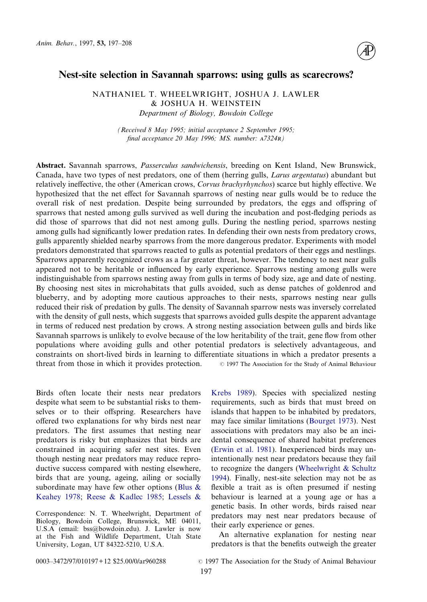

# **Nest-site selection in Savannah sparrows: using gulls as scarecrows?**

NATHANIEL T. WHEELWRIGHT, JOSHUA J. LAWLER & JOSHUA H. WEINSTEIN *Department of Biology, Bowdoin College*

> *(Received 8 May 1995; initial acceptance 2 September 1995; final acceptance 20 May 1996; MS. number:*  $A7324R$ *)*

**Abstract.** Savannah sparrows, *Passerculus sandwichensis*, breeding on Kent Island, New Brunswick, Canada, have two types of nest predators, one of them (herring gulls, *Larus argentatus*) abundant but relatively ineffective, the other (American crows, *Corvus brachyrhynchos*) scarce but highly effective. We hypothesized that the net effect for Savannah sparrows of nesting near gulls would be to reduce the overall risk of nest predation. Despite being surrounded by predators, the eggs and offspring of sparrows that nested among gulls survived as well during the incubation and post-fledging periods as did those of sparrows that did not nest among gulls. During the nestling period, sparrows nesting among gulls had significantly lower predation rates. In defending their own nests from predatory crows, gulls apparently shielded nearby sparrows from the more dangerous predator. Experiments with model predators demonstrated that sparrows reacted to gulls as potential predators of their eggs and nestlings. Sparrows apparently recognized crows as a far greater threat, however. The tendency to nest near gulls appeared not to be heritable or influenced by early experience. Sparrows nesting among gulls were indistinguishable from sparrows nesting away from gulls in terms of body size, age and date of nesting. By choosing nest sites in microhabitats that gulls avoided, such as dense patches of goldenrod and blueberry, and by adopting more cautious approaches to their nests, sparrows nesting near gulls reduced their risk of predation by gulls. The density of Savannah sparrow nests was inversely correlated with the density of gull nests, which suggests that sparrows avoided gulls despite the apparent advantage in terms of reduced nest predation by crows. A strong nesting association between gulls and birds like Savannah sparrows is unlikely to evolve because of the low heritability of the trait, gene flow from other populations where avoiding gulls and other potential predators is selectively advantageous, and constraints on short-lived birds in learning to differentiate situations in which a predator presents a threat from those in which it provides protection.  $\circ$  1997 The Association for the Study of Animal Behaviour

Birds often locate their nests near predators despite what seem to be substantial risks to themselves or to their offspring. Researchers have offered two explanations for why birds nest near predators. The first assumes that nesting near predators is risky but emphasizes that birds are constrained in acquiring safer nest sites. Even though nesting near predators may reduce reproductive success compared with nesting elsewhere, birds that are young, ageing, ailing or socially subordinate may have few other options [\(Blus &](#page-10-1) [Keahey 1978;](#page-10-1) [Reese & Kadlec 1985;](#page-11-0) [Lessels &](#page-11-2)

Correspondence: N. T. Wheelwright, Department of Biology, Bowdoin College, Brunswick, ME 04011, U.S.A (email: bss@bowdoin.edu). J. Lawler is now at the Fish and Wildlife Department, Utah State University, Logan, UT 84322-5210, U.S.A.

[Krebs 1989\)](#page-11-2). Species with specialized nesting requirements, such as birds that must breed on islands that happen to be inhabited by predators, may face similar limitations [\(Bourget 1973\)](#page-10-0). Nest associations with predators may also be an incidental consequence of shared habitat preferences [\(Erwin et al. 1981\).](#page-10-2) Inexperienced birds may unintentionally nest near predators because they fail to recognize the dangers [\(Wheelwright & Schultz](#page-11-1) [1994\)](#page-11-1). Finally, nest-site selection may not be as flexible a trait as is often presumed if nesting behaviour is learned at a young age or has a genetic basis. In other words, birds raised near predators may nest near predators because of their early experience or genes.

An alternative explanation for nesting near predators is that the benefits outweigh the greater

0003–3472/97/010197+12 \$25.00/0/ar960288 © 1997 The Association for the Study of Animal Behaviour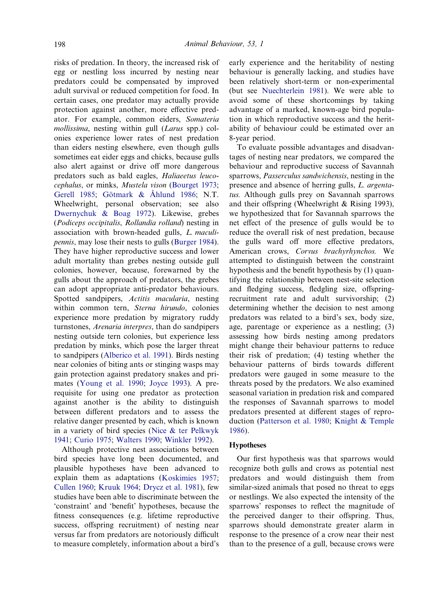risks of predation. In theory, the increased risk of egg or nestling loss incurred by nesting near predators could be compensated by improved adult survival or reduced competition for food. In certain cases, one predator may actually provide protection against another, more effective predator. For example, common eiders, *Somateria mollissima*, nesting within gull (*Larus* spp.) colonies experience lower rates of nest predation than eiders nesting elsewhere, even though gulls sometimes eat eider eggs and chicks, because gulls also alert against or drive off more dangerous predators such as bald eagles, *Haliaeetus leucocephalus*, or minks, *Mustela vison* [\(Bourget 1973;](#page-10-0) [Gerell 1985;](#page-10-3) [Götmark & Åhlund 1986;](#page-10-4) N.T. Wheelwright, personal observation; see also [Dwernychuk & Boag 1972\)](#page-10-5). Likewise, grebes (*Podiceps occipitalis*, *Rollandia rolland*) nesting in association with brown-headed gulls, *L. maculipennis*, may lose their nests to gulls [\(Burger 1984\)](#page-10-6). They have higher reproductive success and lower adult mortality than grebes nesting outside gull colonies, however, because, forewarned by the gulls about the approach of predators, the grebes can adopt appropriate anti-predator behaviours. Spotted sandpipers, *Actitis macularia*, nesting within common tern, *Sterna hirundo*, colonies experience more predation by migratory ruddy turnstones, *Arenaria interpres*, than do sandpipers nesting outside tern colonies, but experience less predation by minks, which pose the larger threat to sandpipers [\(Alberico et al. 1991\)](#page-10-7). Birds nesting near colonies of biting ants or stinging wasps may gain protection against predatory snakes and primates [\(Young et al. 1990;](#page-11-3) [Joyce 1993\)](#page-10-8). A prerequisite for using one predator as protection against another is the ability to distinguish between different predators and to assess the relative danger presented by each, which is known in a variety of bird species [\(Nice & ter Pelkwyk](#page-11-10) [1941;](#page-11-10) [Curio 1975;](#page-10-9) [Walters 1990;](#page-11-4) [Winkler 1992\)](#page-11-5).

Although protective nest associations between bird species have long been documented, and plausible hypotheses have been advanced to explain them as adaptations [\(Koskimies 1957;](#page-11-6) [Cullen 1960;](#page-10-10) [Kruuk 1964;](#page-11-7) [Drycz et al. 1981\)](#page-10-11), few studies have been able to discriminate between the 'constraint' and 'benefit' hypotheses, because the fitness consequences (e.g. lifetime reproductive success, offspring recruitment) of nesting near versus far from predators are notoriously difficult to measure completely, information about a bird's

early experience and the heritability of nesting behaviour is generally lacking, and studies have been relatively short-term or non-experimental (but see [Nuechterlein 1981\)](#page-11-8). We were able to avoid some of these shortcomings by taking advantage of a marked, known-age bird population in which reproductive success and the heritability of behaviour could be estimated over an 8-year period.

To evaluate possible advantages and disadvantages of nesting near predators, we compared the behaviour and reproductive success of Savannah sparrows, *Passerculus sandwichensis*, nesting in the presence and absence of herring gulls, *L. argentatus.* Although gulls prey on Savannah sparrows and their offspring (Wheelwright & Rising 1993), we hypothesized that for Savannah sparrows the net effect of the presence of gulls would be to reduce the overall risk of nest predation, because the gulls ward off more effective predators, American crows, *Corvus brachyrhynchos.* We attempted to distinguish between the constraint hypothesis and the benefit hypothesis by (1) quantifying the relationship between nest-site selection and fledging success, fledgling size, offspringrecruitment rate and adult survivorship; (2) determining whether the decision to nest among predators was related to a bird's sex, body size, age, parentage or experience as a nestling; (3) assessing how birds nesting among predators might change their behaviour patterns to reduce their risk of predation; (4) testing whether the behaviour patterns of birds towards different predators were gauged in some measure to the threats posed by the predators. We also examined seasonal variation in predation risk and compared the responses of Savannah sparrows to model predators presented at different stages of reproduction [\(Patterson et al. 1980;](#page-11-9) [Knight & Temple](#page-10-12) [1986\)](#page-10-12).

## **Hypotheses**

Our first hypothesis was that sparrows would recognize both gulls and crows as potential nest predators and would distinguish them from similar-sized animals that posed no threat to eggs or nestlings. We also expected the intensity of the sparrows' responses to reflect the magnitude of the perceived danger to their offspring. Thus, sparrows should demonstrate greater alarm in response to the presence of a crow near their nest than to the presence of a gull, because crows were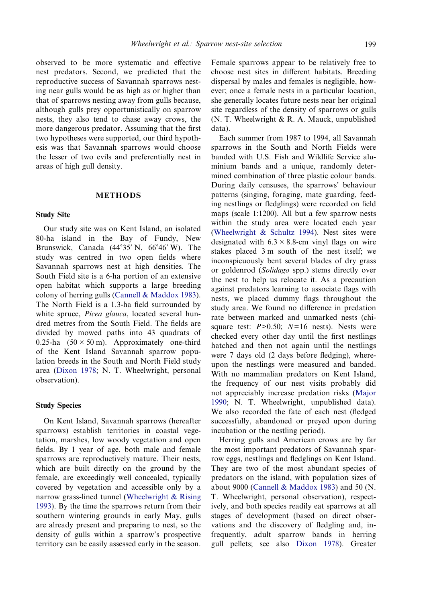observed to be more systematic and effective nest predators. Second, we predicted that the reproductive success of Savannah sparrows nesting near gulls would be as high as or higher than that of sparrows nesting away from gulls because, although gulls prey opportunistically on sparrow nests, they also tend to chase away crows, the more dangerous predator. Assuming that the first two hypotheses were supported, our third hypothesis was that Savannah sparrows would choose the lesser of two evils and preferentially nest in areas of high gull density.

#### **METHODS**

#### **Study Site**

Our study site was on Kent Island, an isolated 80-ha island in the Bay of Fundy, New Brunswick, Canada  $(44^{\circ}35' \text{ N}, 66^{\circ}46' \text{ W})$ . The study was centred in two open fields where Savannah sparrows nest at high densities. The South Field site is a 6-ha portion of an extensive open habitat which supports a large breeding colony of herring gulls [\(Cannell & Maddox 1983\)](#page-10-13). The North Field is a 1.3-ha field surrounded by white spruce, *Picea glauca*, located several hundred metres from the South Field. The fields are divided by mowed paths into 43 quadrats of 0.25-ha  $(50 \times 50 \text{ m})$ . Approximately one-third of the Kent Island Savannah sparrow population breeds in the South and North Field study area [\(Dixon 1978;](#page-10-14) N. T. Wheelwright, personal observation).

#### **Study Species**

On Kent Island, Savannah sparrows (hereafter sparrows) establish territories in coastal vegetation, marshes, low woody vegetation and open fields. By 1 year of age, both male and female sparrows are reproductively mature. Their nests, which are built directly on the ground by the female, are exceedingly well concealed, typically covered by vegetation and accessible only by a narrow grass-lined tunnel [\(Wheelwright & Rising](#page-11-11) [1993\)](#page-11-2). By the time the sparrows return from their southern wintering grounds in early May, gulls are already present and preparing to nest, so the density of gulls within a sparrow's prospective territory can be easily assessed early in the season.

Female sparrows appear to be relatively free to choose nest sites in different habitats. Breeding dispersal by males and females is negligible, however; once a female nests in a particular location, she generally locates future nests near her original site regardless of the density of sparrows or gulls (N. T. Wheelwright & R. A. Mauck, unpublished data).

Each summer from 1987 to 1994, all Savannah sparrows in the South and North Fields were banded with U.S. Fish and Wildlife Service aluminium bands and a unique, randomly determined combination of three plastic colour bands. During daily censuses, the sparrows' behaviour patterns (singing, foraging, mate guarding, feeding nestlings or fledglings) were recorded on field maps (scale 1:1200). All but a few sparrow nests within the study area were located each year [\(Wheelwright & Schultz 1994\)](#page-11-1). Nest sites were designated with  $6.3 \times 8.8$ -cm vinyl flags on wire stakes placed 3 m south of the nest itself; we inconspicuously bent several blades of dry grass or goldenrod (*Solidago* spp.) stems directly over the nest to help us relocate it. As a precaution against predators learning to associate flags with nests, we placed dummy flags throughout the study area. We found no difference in predation rate between marked and unmarked nests (chisquare test: *P*>0.50; *N=*16 nests). Nests were checked every other day until the first nestlings hatched and then not again until the nestlings were 7 days old (2 days before fledging), whereupon the nestlings were measured and banded. With no mammalian predators on Kent Island, the frequency of our nest visits probably did not appreciably increase predation risks [\(Major](#page-11-12) [1990;](#page-11-12) N. T. Wheelwright, unpublished data). We also recorded the fate of each nest (fledged successfully, abandoned or preyed upon during incubation or the nestling period).

Herring gulls and American crows are by far the most important predators of Savannah sparrow eggs, nestlings and fledglings on Kent Island. They are two of the most abundant species of predators on the island, with population sizes of about 9000 [\(Cannell & Maddox 1983\)](#page-10-13) and 50 (N. T. Wheelwright, personal observation), respectively, and both species readily eat sparrows at all stages of development (based on direct observations and the discovery of fledgling and, infrequently, adult sparrow bands in herring gull pellets; see also [Dixon 1978\)](#page-10-15). Greater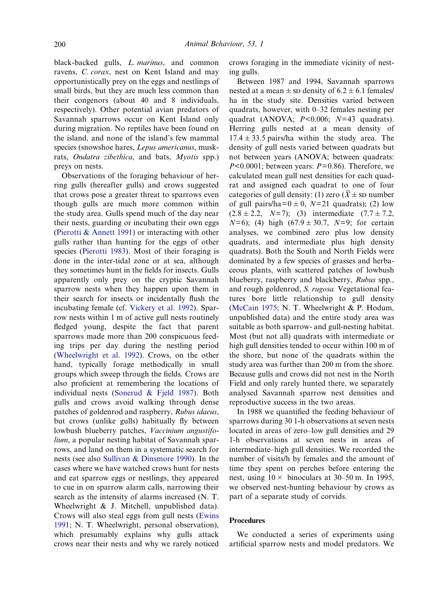black-backed gulls, *L. marinus*, and common ravens, *C. corax*, nest on Kent Island and may opportunistically prey on the eggs and nestlings of small birds, but they are much less common than their congenors (about 40 and 8 individuals, respectively). Other potential avian predators of Savannah sparrows occur on Kent Island only during migration. No reptiles have been found on the island, and none of the island's few mammal species (snowshoe hares, *Lepus americanus*, muskrats, *Ondatra zibethica*, and bats, *Myotis* spp.) preys on nests.

Observations of the foraging behaviour of herring gulls (hereafter gulls) and crows suggested that crows pose a greater threat to sparrows even though gulls are much more common within the study area. Gulls spend much of the day near their nests, guarding or incubating their own eggs [\(Pierotti & Annett 1991\)](#page-11-13) or interacting with other gulls rather than hunting for the eggs of other species [\(Pierotti 1983\)](#page-11-14). Most of their foraging is done in the inter-tidal zone or at sea, although they sometimes hunt in the fields for insects. Gulls apparently only prey on the cryptic Savannah sparrow nests when they happen upon them in their search for insects or incidentally flush the incubating female (cf. [Vickery et al. 1992\)](#page-11-15). Sparrow nests within 1 m of active gull nests routinely fledged young, despite the fact that parent sparrows made more than 200 conspicuous feeding trips per day during the nestling period [\(Wheelwright et al. 1992\)](#page-11-16). Crows, on the other hand, typically forage methodically in small groups which sweep through the fields. Crows are also proficient at remembering the locations of individual nests [\(Sonerud & Fjeld 1987\)](#page-11-17). Both gulls and crows avoid walking through dense patches of goldenrod and raspberry, *Rubus idaeus*, but crows (unlike gulls) habitually fly between lowbush blueberry patches, *Vaccinium angustifolium*, a popular nesting habitat of Savannah sparrows, and land on them in a systematic search for nests (see also [Sullivan & Dinsmore 1990\)](#page-11-18). In the cases where we have watched crows hunt for nests and eat sparrow eggs or nestlings, they appeared to cue in on sparrow alarm calls, narrowing their search as the intensity of alarms increased (N. T. Wheelwright & J. Mitchell, unpublished data). Crows will also steal eggs from gull nests ([Ewins](#page-10-15) [1991;](#page-10-15) N. T. Wheelwright, personal observation), which presumably explains why gulls attack crows near their nests and why we rarely noticed

crows foraging in the immediate vicinity of nesting gulls.

Between 1987 and 1994, Savannah sparrows nested at a mean  $\pm$  sp density of 6.2  $\pm$  6.1 females/ ha in the study site. Densities varied between quadrats, however, with 0–32 females nesting per quadrat (ANOVA; *P*<0.006; *N*=43 quadrats). Herring gulls nested at a mean density of  $17.4 \pm 33.5$  pairs/ha within the study area. The density of gull nests varied between quadrats but not between years (ANOVA; between quadrats:  $P<0.0001$ ; between years:  $P=0.86$ ). Therefore, we calculated mean gull nest densities for each quadrat and assigned each quadrat to one of four categories of gull density: (1) zero ( $\overline{X} \pm$  sp number of gull pairs/ha= $0 \pm 0$ , *N*=21 quadrats); (2) low  $(2.8 \pm 2.2, \quad N=7)$ ; (3) intermediate  $(7.7 \pm 7.2,$ *N*=6); (4) high (67.9  $\pm$  30.7, *N*=9; for certain analyses, we combined zero plus low density quadrats, and intermediate plus high density quadrats). Both the South and North Fields were dominated by a few species of grasses and herbaceous plants, with scattered patches of lowbush blueberry, raspberry and blackberry, *Rubus* spp., and rough goldenrod, *S. rugosa.* Vegetational features bore little relationship to gull density [\(McCain 1975;](#page-11-19) N. T. Wheelwright & P. Hodum, unpublished data) and the entire study area was suitable as both sparrow- and gull-nesting habitat. Most (but not all) quadrats with intermediate or high gull densities tended to occur within 100 m of the shore, but none of the quadrats within the study area was further than 200 m from the shore. Because gulls and crows did not nest in the North Field and only rarely hunted there, we separately analysed Savannah sparrow nest densities and reproductive success in the two areas.

In 1988 we quantified the feeding behaviour of sparrows during 30 1-h observations at seven nests located in areas of zero–low gull densities and 29 1-h observations at seven nests in areas of intermediate–high gull densities. We recorded the number of visits/h by females and the amount of time they spent on perches before entering the nest, using  $10 \times$  binoculars at 30–50 m. In 1995, we observed nest-hunting behaviour by crows as part of a separate study of corvids.

## **Procedures**

We conducted a series of experiments using artificial sparrow nests and model predators. We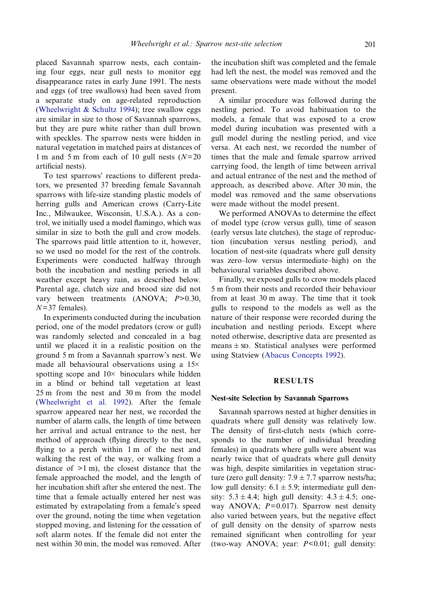placed Savannah sparrow nests, each containing four eggs, near gull nests to monitor egg disappearance rates in early June 1991. The nests and eggs (of tree swallows) had been saved from a separate study on age-related reproduction [\(Wheelwright & Schultz 1994\)](#page-11-1); tree swallow eggs are similar in size to those of Savannah sparrows, but they are pure white rather than dull brown with speckles. The sparrow nests were hidden in natural vegetation in matched pairs at distances of 1 m and 5 m from each of 10 gull nests (*N*=20 artificial nests).

To test sparrows' reactions to different predators, we presented 37 breeding female Savannah sparrows with life-size standing plastic models of herring gulls and American crows (Carry-Lite Inc., Milwaukee, Wisconsin, U.S.A.). As a control, we initially used a model flamingo, which was similar in size to both the gull and crow models. The sparrows paid little attention to it, however, so we used no model for the rest of the controls. Experiments were conducted halfway through both the incubation and nestling periods in all weather except heavy rain, as described below. Parental age, clutch size and brood size did not vary between treatments (ANOVA; *P*>0.30, *N*=37 females).

In experiments conducted during the incubation period, one of the model predators (crow or gull) was randomly selected and concealed in a bag until we placed it in a realistic position on the ground 5 m from a Savannah sparrow's nest. We made all behavioural observations using a  $15\times$ spotting scope and  $10 \times$  binoculars while hidden in a blind or behind tall vegetation at least 25 m from the nest and 30 m from the model [\(Wheelwright et al. 1992\)](#page-11-16). After the female sparrow appeared near her nest, we recorded the number of alarm calls, the length of time between her arrival and actual entrance to the nest, her method of approach (flying directly to the nest, flying to a perch within 1 m of the nest and walking the rest of the way, or walking from a distance of  $>1$  m), the closest distance that the female approached the model, and the length of her incubation shift after she entered the nest. The time that a female actually entered her nest was estimated by extrapolating from a female's speed over the ground, noting the time when vegetation stopped moving, and listening for the cessation of soft alarm notes. If the female did not enter the nest within 30 min, the model was removed. After

the incubation shift was completed and the female had left the nest, the model was removed and the same observations were made without the model present.

A similar procedure was followed during the nestling period. To avoid habituation to the models, a female that was exposed to a crow model during incubation was presented with a gull model during the nestling period, and vice versa. At each nest, we recorded the number of times that the male and female sparrow arrived carrying food, the length of time between arrival and actual entrance of the nest and the method of approach, as described above. After 30 min, the model was removed and the same observations were made without the model present.

We performed ANOVAs to determine the effect of model type (crow versus gull), time of season (early versus late clutches), the stage of reproduction (incubation versus nestling period), and location of nest-site (quadrats where gull density was zero–low versus intermediate–high) on the behavioural variables described above.

Finally, we exposed gulls to crow models placed 5 m from their nests and recorded their behaviour from at least 30 m away. The time that it took gulls to respond to the models as well as the nature of their response were recorded during the incubation and nestling periods. Except where noted otherwise, descriptive data are presented as means  $\pm$  sp. Statistical analyses were performed using Statview [\(Abacus Concepts 1992\)](#page-10-16).

## **RESULTS**

## **Nest-site Selection by Savannah Sparrows**

Savannah sparrows nested at higher densities in quadrats where gull density was relatively low. The density of first-clutch nests (which corresponds to the number of individual breeding females) in quadrats where gulls were absent was nearly twice that of quadrats where gull density was high, despite similarities in vegetation structure (zero gull density:  $7.9 \pm 7.7$  sparrow nests/ha; low gull density:  $6.1 \pm 5.9$ ; intermediate gull density:  $5.3 \pm 4.4$ ; high gull density:  $4.3 \pm 4.5$ ; oneway ANOVA; *P*=0.017). Sparrow nest density also varied between years, but the negative effect of gull density on the density of sparrow nests remained significant when controlling for year (two-way ANOVA; year: *P*<0.01; gull density: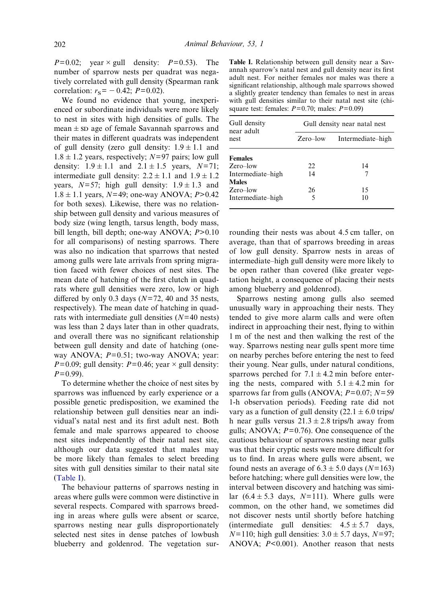<span id="page-5-0"></span> $P=0.02$ ; year  $\times$  gull density:  $P=0.53$ ). The number of sparrow nests per quadrat was negatively correlated with gull density (Spearman rank correlation:  $r_s = -0.42$ ; *P*=0.02).

We found no evidence that young, inexperienced or subordinate individuals were more likely to nest in sites with high densities of gulls. The mean  $\pm$  sp age of female Savannah sparrows and their mates in different quadrats was independent of gull density (zero gull density:  $1.9 \pm 1.1$  and  $1.8 \pm 1.2$  years, respectively; *N*=97 pairs; low gull density:  $1.9 \pm 1.1$  and  $2.1 \pm 1.5$  years,  $N=71$ ; intermediate gull density:  $2.2 \pm 1.1$  and  $1.9 \pm 1.2$ years,  $N=57$ ; high gull density:  $1.9 \pm 1.3$  and  $1.8 \pm 1.1$  years,  $N=49$ ; one-way ANOVA;  $P > 0.42$ for both sexes). Likewise, there was no relationship between gull density and various measures of body size (wing length, tarsus length, body mass, bill length, bill depth; one-way ANOVA; *P*>0.10 for all comparisons) of nesting sparrows. There was also no indication that sparrows that nested among gulls were late arrivals from spring migration faced with fewer choices of nest sites. The mean date of hatching of the first clutch in quadrats where gull densities were zero, low or high differed by only 0.3 days  $(N=72, 40, 35)$  nests, respectively). The mean date of hatching in quadrats with intermediate gull densities (*N*=40 nests) was less than 2 days later than in other quadrats, and overall there was no significant relationship between gull density and date of hatching (oneway ANOVA; *P*=0.51; two-way ANOVA; year: *P*=0.09; gull density: *P*=0.46; year  $\times$  gull density: *P*=0.99).

To determine whether the choice of nest sites by sparrows was influenced by early experience or a possible genetic predisposition, we examined the relationship between gull densities near an individual's natal nest and its first adult nest. Both female and male sparrows appeared to choose nest sites independently of their natal nest site, although our data suggested that males may be more likely than females to select breeding sites with gull densities similar to their natal site [\(Table I\)](#page-5-0).

The behaviour patterns of sparrows nesting in areas where gulls were common were distinctive in several respects. Compared with sparrows breeding in areas where gulls were absent or scarce, sparrows nesting near gulls disproportionately selected nest sites in dense patches of lowbush blueberry and goldenrod. The vegetation sur-

**Table I.** Relationship between gull density near a Savannah sparrow's natal nest and gull density near its first adult nest. For neither females nor males was there a significant relationship, although male sparrows showed a slightly greater tendency than females to nest in areas with gull densities similar to their natal nest site (chisquare test: females: *P*=0.70; males: *P*=0.09)

| Gull density<br>near adult<br>nest | Gull density near natal nest |                   |
|------------------------------------|------------------------------|-------------------|
|                                    | Zero-low                     | Intermediate–high |
| Females                            |                              |                   |
| $Zero$ -low                        | 22.                          | 14                |
| Intermediate–high                  | 14                           |                   |
| <b>Males</b>                       |                              |                   |
| Zero-low                           | 26                           | 15                |
| Intermediate–high                  | 5                            | 10                |
|                                    |                              |                   |

rounding their nests was about 4.5 cm taller, on average, than that of sparrows breeding in areas of low gull density. Sparrow nests in areas of intermediate–high gull density were more likely to be open rather than covered (like greater vegetation height, a consequence of placing their nests among blueberry and goldenrod).

Sparrows nesting among gulls also seemed unusually wary in approaching their nests. They tended to give more alarm calls and were often indirect in approaching their nest, flying to within 1 m of the nest and then walking the rest of the way. Sparrows nesting near gulls spent more time on nearby perches before entering the nest to feed their young. Near gulls, under natural conditions, sparrows perched for  $7.1 \pm 4.2$  min before entering the nests, compared with  $5.1 \pm 4.2$  min for sparrows far from gulls (ANOVA; *P*=0.07; *N*=59 1-h observation periods). Feeding rate did not vary as a function of gull density  $(22.1 \pm 6.0 \text{ trips})$ h near gulls versus  $21.3 \pm 2.8$  trips/h away from gulls; ANOVA; *P*=0.76). One consequence of the cautious behaviour of sparrows nesting near gulls was that their cryptic nests were more difficult for us to find. In areas where gulls were absent, we found nests an average of  $6.3 \pm 5.0$  days ( $N=163$ ) before hatching; where gull densities were low, the interval between discovery and hatching was similar  $(6.4 \pm 5.3$  days,  $N=111$ ). Where gulls were common, on the other hand, we sometimes did not discover nests until shortly before hatching (intermediate gull densities:  $4.5 \pm 5.7$  days,  $N=110$ ; high gull densities:  $3.0 \pm 5.7$  days,  $N=97$ ; ANOVA; *P*<0.001). Another reason that nests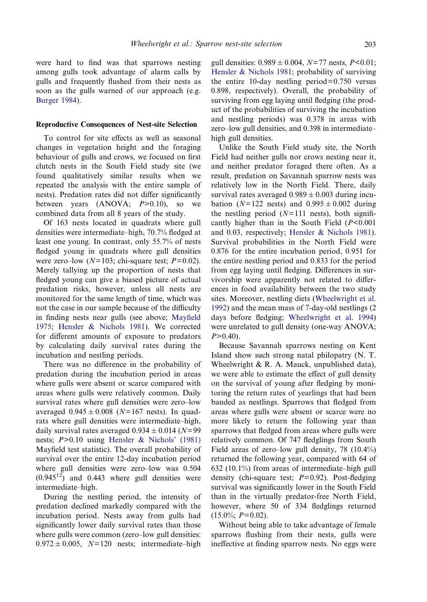were hard to find was that sparrows nesting among gulls took advantage of alarm calls by gulls and frequently flushed from their nests as soon as the gulls warned of our approach (e.g. [Burger 1984\)](#page-10-6).

#### **Reproductive Consequences of Nest-site Selection**

To control for site effects as well as seasonal changes in vegetation height and the foraging behaviour of gulls and crows, we focused on first clutch nests in the South Field study site (we found qualitatively similar results when we repeated the analysis with the entire sample of nests). Predation rates did not differ significantly between years (ANOVA; *P*>0.10), so we combined data from all 8 years of the study.

Of 163 nests located in quadrats where gull densities were intermediate–high, 70.7% fledged at least one young. In contrast, only 55.7% of nests fledged young in quadrats where gull densities were zero–low  $(N=103;$  chi-square test;  $P=0.02$ ). Merely tallying up the proportion of nests that fledged young can give a biased picture of actual predation risks, however, unless all nests are monitored for the same length of time, which was not the case in our sample because of the difficulty in finding nests near gulls (see above; [Mayfield](#page-11-21) [1975;](#page-11-21) [Hensler & Nichols 1981](#page-10-15)). We corrected for different amounts of exposure to predators by calculating daily survival rates during the incubation and nestling periods.

There was no difference in the probability of predation during the incubation period in areas where gulls were absent or scarce compared with areas where gulls were relatively common. Daily survival rates where gull densities were zero–low averaged  $0.945 \pm 0.008$  (*N*=167 nests). In quadrats where gull densities were intermediate–high, daily survival rates averaged  $0.934 \pm 0.014$  ( $N=99$ ) nests; *P*>0.10 using [Hensler & Nichols' \(1981\)](#page-10-17) Mayfield test statistic). The overall probability of survival over the entire 12-day incubation period where gull densities were zero–low was 0.504  $(0.945^{12})$  and 0.443 where gull densities were intermediate–high.

During the nestling period, the intensity of predation declined markedly compared with the incubation period. Nests away from gulls had significantly lower daily survival rates than those where gulls were common (zero–low gull densities:  $0.972 \pm 0.005$ ,  $N=120$  nests; intermediate–high

gull densities:  $0.989 \pm 0.004$ ,  $N=77$  nests,  $P<0.01$ ; [Hensler & Nichols 1981;](#page-10-17) probability of surviving the entire 10-day nestling period= $0.750$  versus 0.898, respectively). Overall, the probability of surviving from egg laying until fledging (the product of the probabilities of surviving the incubation and nestling periods) was 0.378 in areas with zero–low gull densities, and 0.398 in intermediate– high gull densities.

Unlike the South Field study site, the North Field had neither gulls nor crows nesting near it, and neither predator foraged there often. As a result, predation on Savannah sparrow nests was relatively low in the North Field. There, daily survival rates averaged  $0.989 \pm 0.003$  during incubation ( $N=122$  nests) and  $0.995 \pm 0.002$  during the nestling period  $(N=111$  nests), both significantly higher than in the South Field (*P*<0.001 and 0.03, respectively; [Hensler & Nichols 1981\)](#page-10-17). Survival probabilities in the North Field were 0.876 for the entire incubation period, 0.951 for the entire nestling period and 0.833 for the period from egg laying until fledging. Differences in survivorship were apparently not related to differences in food availability between the two study sites. Moreover, nestling diets [\(Wheelwright et al.](#page-11-16) [1992\)](#page-11-16) and the mean mass of 7-day-old nestlings (2 days before fledging; [Wheelwright et al. 1994\)](#page-11-20) were unrelated to gull density (one-way ANOVA; *P*>0.40).

Because Savannah sparrows nesting on Kent Island show such strong natal philopatry (N. T. Wheelwright & R. A. Mauck, unpublished data), we were able to estimate the effect of gull density on the survival of young after fledging by monitoring the return rates of yearlings that had been banded as nestlings. Sparrows that fledged from areas where gulls were absent or scarce were no more likely to return the following year than sparrows that fledged from areas where gulls were relatively common. Of 747 fledglings from South Field areas of zero–low gull density, 78 (10.4%) returned the following year, compared with 64 of 632 (10.1%) from areas of intermediate–high gull density (chi-square test; *P*=0.92). Post-fledging survival was significantly lower in the South Field than in the virtually predator-free North Field, however, where 50 of 334 fledglings returned  $(15.0\%; P=0.02)$ .

Without being able to take advantage of female sparrows flushing from their nests, gulls were ineffective at finding sparrow nests. No eggs were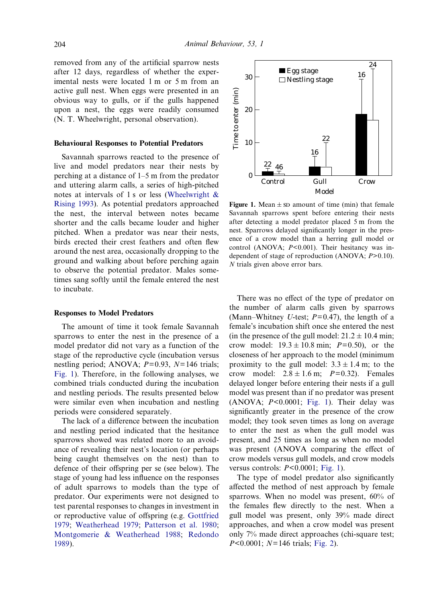removed from any of the artificial sparrow nests after 12 days, regardless of whether the experimental nests were located 1 m or 5 m from an active gull nest. When eggs were presented in an obvious way to gulls, or if the gulls happened upon a nest, the eggs were readily consumed (N. T. Wheelwright, personal observation).

### **Behavioural Responses to Potential Predators**

<span id="page-7-0"></span>Savannah sparrows reacted to the presence of live and model predators near their nests by perching at a distance of 1–5 m from the predator and uttering alarm calls, a series of high-pitched notes at intervals of 1 s or less [\(Wheelwright &](#page-11-11) [Rising 1993\)](#page-11-11). As potential predators approached the nest, the interval between notes became shorter and the calls became louder and higher pitched. When a predator was near their nests, birds erected their crest feathers and often flew around the nest area, occasionally dropping to the ground and walking about before perching again to observe the potential predator. Males sometimes sang softly until the female entered the nest to incubate.

#### **Responses to Model Predators**

The amount of time it took female Savannah sparrows to enter the nest in the presence of a model predator did not vary as a function of the stage of the reproductive cycle (incubation versus nestling period; ANOVA; *P*=0.93, *N*=146 trials; [Fig. 1\)](#page-7-0). Therefore, in the following analyses, we combined trials conducted during the incubation and nestling periods. The results presented below were similar even when incubation and nestling periods were considered separately.

The lack of a difference between the incubation and nestling period indicated that the hesitance sparrows showed was related more to an avoidance of revealing their nest's location (or perhaps being caught themselves on the nest) than to defence of their offspring per se (see below). The stage of young had less influence on the responses of adult sparrows to models than the type of predator. Our experiments were not designed to test parental responses to changes in investment in or reproductive value of offspring (e.g. [Gottfried](#page-10-15) [1979;](#page-10-15) Weatherhead 1979; [Patterson et al. 1980;](#page-11-2) [Montgomerie & Weatherhead 1988;](#page-11-2) Redondo 1989).



**Figure 1.** Mean  $\pm$  sp amount of time (min) that female Savannah sparrows spent before entering their nests after detecting a model predator placed 5 m from the nest. Sparrows delayed significantly longer in the presence of a crow model than a herring gull model or control (ANOVA;  $P<0.001$ ). Their hesitancy was independent of stage of reproduction (ANOVA; *P*>0.10). *N* trials given above error bars.

There was no effect of the type of predator on the number of alarm calls given by sparrows (Mann–Whitney *U*-test; *P*=0.47), the length of a female's incubation shift once she entered the nest (in the presence of the gull model:  $21.2 \pm 10.4$  min; crow model:  $19.3 \pm 10.8$  min; *P*=0.50), or the closeness of her approach to the model (minimum proximity to the gull model:  $3.3 \pm 1.4$  m; to the crow model:  $2.8 \pm 1.6$  m;  $P=0.32$ ). Females delayed longer before entering their nests if a gull model was present than if no predator was present (ANOVA; *P*<0.0001; [Fig. 1\)](#page-7-0). Their delay was significantly greater in the presence of the crow model; they took seven times as long on average to enter the nest as when the gull model was present, and 25 times as long as when no model was present (ANOVA comparing the effect of crow models versus gull models, and crow models versus controls: *P*<0.0001; [Fig. 1\)](#page-7-0).

The type of model predator also significantly affected the method of nest approach by female sparrows. When no model was present, 60% of the females flew directly to the nest. When a gull model was present, only 39% made direct approaches, and when a crow model was present only 7% made direct approaches (chi-square test; *P*<0.0001; *N*=146 trials; [Fig. 2\)](#page-8-0).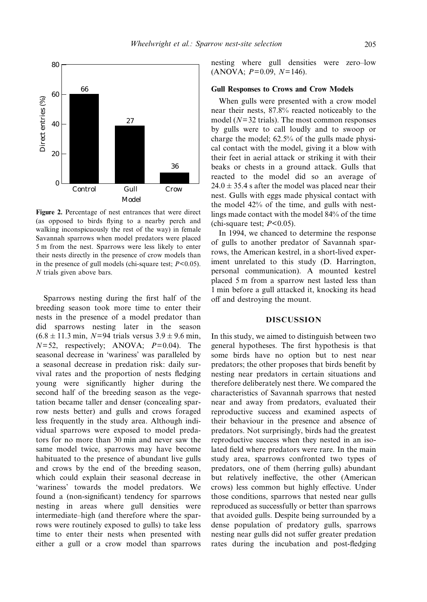<span id="page-8-0"></span>

**Figure 2.** Percentage of nest entrances that were direct (as opposed to birds flying to a nearby perch and walking inconspicuously the rest of the way) in female Savannah sparrows when model predators were placed 5 m from the nest. Sparrows were less likely to enter their nests directly in the presence of crow models than in the presence of gull models (chi-square test; *P*<0.05). *N* trials given above bars.

Sparrows nesting during the first half of the breeding season took more time to enter their nests in the presence of a model predator than did sparrows nesting later in the season  $(6.8 \pm 11.3 \text{ min}, N=94 \text{ trials versus } 3.9 \pm 9.6 \text{ min},$ *N*=52, respectively; ANOVA; *P*=0.04). The seasonal decrease in 'wariness' was paralleled by a seasonal decrease in predation risk: daily survival rates and the proportion of nests fledging young were significantly higher during the second half of the breeding season as the vegetation became taller and denser (concealing sparrow nests better) and gulls and crows foraged less frequently in the study area. Although individual sparrows were exposed to model predators for no more than 30 min and never saw the same model twice, sparrows may have become habituated to the presence of abundant live gulls and crows by the end of the breeding season, which could explain their seasonal decrease in 'wariness' towards the model predators. We found a (non-significant) tendency for sparrows nesting in areas where gull densities were intermediate–high (and therefore where the sparrows were routinely exposed to gulls) to take less time to enter their nests when presented with either a gull or a crow model than sparrows nesting where gull densities were zero–low (ANOVA; *P*=0.09, *N*=146).

#### **Gull Responses to Crows and Crow Models**

When gulls were presented with a crow model near their nests, 87.8% reacted noticeably to the model (*N*=32 trials). The most common responses by gulls were to call loudly and to swoop or charge the model; 62.5% of the gulls made physical contact with the model, giving it a blow with their feet in aerial attack or striking it with their beaks or chests in a ground attack. Gulls that reacted to the model did so an average of  $24.0 \pm 35.4$  s after the model was placed near their nest. Gulls with eggs made physical contact with the model 42% of the time, and gulls with nestlings made contact with the model 84% of the time (chi-square test; *P*<0.05).

In 1994, we chanced to determine the response of gulls to another predator of Savannah sparrows, the American kestrel, in a short-lived experiment unrelated to this study (D. Harrington, personal communication). A mounted kestrel placed 5 m from a sparrow nest lasted less than 1 min before a gull attacked it, knocking its head off and destroying the mount.

### **DISCUSSION**

In this study, we aimed to distinguish between two general hypotheses. The first hypothesis is that some birds have no option but to nest near predators; the other proposes that birds benefit by nesting near predators in certain situations and therefore deliberately nest there. We compared the characteristics of Savannah sparrows that nested near and away from predators, evaluated their reproductive success and examined aspects of their behaviour in the presence and absence of predators. Not surprisingly, birds had the greatest reproductive success when they nested in an isolated field where predators were rare. In the main study area, sparrows confronted two types of predators, one of them (herring gulls) abundant but relatively ineffective, the other (American crows) less common but highly effective. Under those conditions, sparrows that nested near gulls reproduced as successfully or better than sparrows that avoided gulls. Despite being surrounded by a dense population of predatory gulls, sparrows nesting near gulls did not suffer greater predation rates during the incubation and post-fledging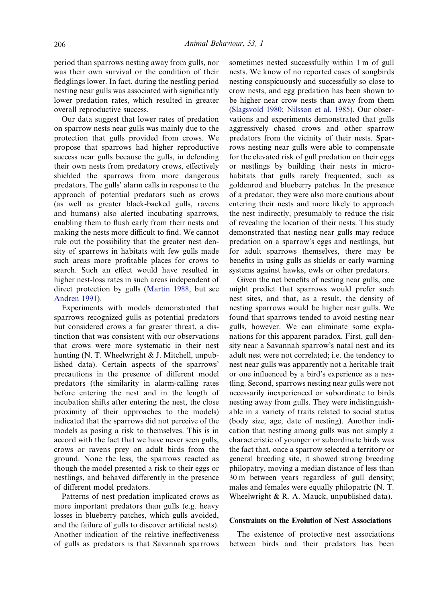period than sparrows nesting away from gulls, nor was their own survival or the condition of their fledglings lower. In fact, during the nestling period nesting near gulls was associated with significantly lower predation rates, which resulted in greater overall reproductive success.

Our data suggest that lower rates of predation on sparrow nests near gulls was mainly due to the protection that gulls provided from crows. We propose that sparrows had higher reproductive success near gulls because the gulls, in defending their own nests from predatory crows, effectively shielded the sparrows from more dangerous predators. The gulls' alarm calls in response to the approach of potential predators such as crows (as well as greater black-backed gulls, ravens and humans) also alerted incubating sparrows, enabling them to flush early from their nests and making the nests more difficult to find. We cannot rule out the possibility that the greater nest density of sparrows in habitats with few gulls made such areas more profitable places for crows to search. Such an effect would have resulted in higher nest-loss rates in such areas independent of direct protection by gulls [\(Martin 1988,](#page-11-22) but see [Andren 1991\)](#page-10-18).

Experiments with models demonstrated that sparrows recognized gulls as potential predators but considered crows a far greater threat, a distinction that was consistent with our observations that crows were more systematic in their nest hunting (N. T. Wheelwright & J. Mitchell, unpublished data). Certain aspects of the sparrows' precautions in the presence of different model predators (the similarity in alarm-calling rates before entering the nest and in the length of incubation shifts after entering the nest, the close proximity of their approaches to the models) indicated that the sparrows did not perceive of the models as posing a risk to themselves. This is in accord with the fact that we have never seen gulls, crows or ravens prey on adult birds from the ground. None the less, the sparrows reacted as though the model presented a risk to their eggs or nestlings, and behaved differently in the presence of different model predators.

Patterns of nest predation implicated crows as more important predators than gulls (e.g. heavy losses in blueberry patches, which gulls avoided, and the failure of gulls to discover artificial nests). Another indication of the relative ineffectiveness of gulls as predators is that Savannah sparrows sometimes nested successfully within 1 m of gull nests. We know of no reported cases of songbirds nesting conspicuously and successfully so close to crow nests, and egg predation has been shown to be higher near crow nests than away from them [\(Slagsvold 1980;](#page-11-24) [Nilsson et al. 1985\)](#page-11-23). Our observations and experiments demonstrated that gulls aggressively chased crows and other sparrow predators from the vicinity of their nests. Sparrows nesting near gulls were able to compensate for the elevated risk of gull predation on their eggs or nestlings by building their nests in microhabitats that gulls rarely frequented, such as goldenrod and blueberry patches. In the presence of a predator, they were also more cautious about entering their nests and more likely to approach the nest indirectly, presumably to reduce the risk of revealing the location of their nests. This study demonstrated that nesting near gulls may reduce predation on a sparrow's eggs and nestlings, but for adult sparrows themselves, there may be benefits in using gulls as shields or early warning systems against hawks, owls or other predators.

Given the net benefits of nesting near gulls, one might predict that sparrows would prefer such nest sites, and that, as a result, the density of nesting sparrows would be higher near gulls. We found that sparrows tended to avoid nesting near gulls, however. We can eliminate some explanations for this apparent paradox. First, gull density near a Savannah sparrow's natal nest and its adult nest were not correlated; i.e. the tendency to nest near gulls was apparently not a heritable trait or one influenced by a bird's experience as a nestling. Second, sparrows nesting near gulls were not necessarily inexperienced or subordinate to birds nesting away from gulls. They were indistinguishable in a variety of traits related to social status (body size, age, date of nesting). Another indication that nesting among gulls was not simply a characteristic of younger or subordinate birds was the fact that, once a sparrow selected a territory or general breeding site, it showed strong breeding philopatry, moving a median distance of less than 30 m between years regardless of gull density; males and females were equally philopatric (N. T. Wheelwright & R. A. Mauck, unpublished data).

## **Constraints on the Evolution of Nest Associations**

The existence of protective nest associations between birds and their predators has been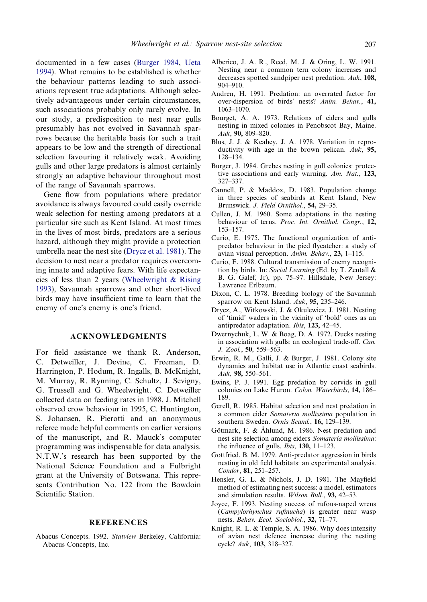<span id="page-10-18"></span><span id="page-10-15"></span><span id="page-10-7"></span><span id="page-10-0"></span>documented in a few cases [\(Burger 1984,](#page-10-6) [Ueta](#page-11-25) [1994\).](#page-11-25) What remains to be established is whether the behaviour patterns leading to such associations represent true adaptations. Although selectively advantageous under certain circumstances, such associations probably only rarely evolve. In our study, a predisposition to nest near gulls presumably has not evolved in Savannah sparrows because the heritable basis for such a trait appears to be low and the strength of directional selection favouring it relatively weak. Avoiding gulls and other large predators is almost certainly strongly an adaptive behaviour throughout most of the range of Savannah sparrows.

<span id="page-10-13"></span><span id="page-10-10"></span><span id="page-10-9"></span><span id="page-10-6"></span><span id="page-10-1"></span>Gene flow from populations where predator avoidance is always favoured could easily override weak selection for nesting among predators at a particular site such as Kent Island. At most times in the lives of most birds, predators are a serious hazard, although they might provide a protection umbrella near the nest site [\(Drycz et al. 1981\)](#page-10-11). The decision to nest near a predator requires overcoming innate and adaptive fears. With life expectancies of less than 2 years [\(Wheelwright & Rising](#page-11-2) [1993](#page-11-2)), Savannah sparrows and other short-lived birds may have insufficient time to learn that the enemy of one's enemy is one's friend.

## <span id="page-10-14"></span><span id="page-10-11"></span><span id="page-10-5"></span><span id="page-10-2"></span>**ACKNOWLEDGMENTS**

<span id="page-10-4"></span><span id="page-10-3"></span>For field assistance we thank R. Anderson, C. Detweiller, J. Devine, C. Freeman, D. Harrington, P. Hodum, R. Ingalls, B. McKnight, M. Murray, R. Rynning, C. Schultz, J. Sevigny, G. Trussell and G. Wheelwright. C. Detweiller collected data on feeding rates in 1988, J. Mitchell observed crow behaviour in 1995, C. Huntington, S. Johansen, R. Pierotti and an anonymous referee made helpful comments on earlier versions of the manuscript, and R. Mauck's computer programming was indispensable for data analysis. N.T.W.'s research has been supported by the National Science Foundation and a Fulbright grant at the University of Botswana. This represents Contribution No. 122 from the Bowdoin Scientific Station.

## <span id="page-10-17"></span><span id="page-10-12"></span><span id="page-10-8"></span>**REFERENCES**

<span id="page-10-16"></span>Abacus Concepts. 1992. *Statview* Berkeley, California: Abacus Concepts, Inc.

- Alberico, J. A. R., Reed, M. J. & Oring, L. W. 1991. Nesting near a common tern colony increases and decreases spotted sandpiper nest predation. *Auk*, **108,** 904–910.
- Andren, H. 1991. Predation: an overrated factor for over-dispersion of birds' nests? *Anim. Behav.*, **41,** 1063–1070.
- Bourget, A. A. 1973. Relations of eiders and gulls nesting in mixed colonies in Penobscot Bay, Maine. *Auk*, **90,** 809–820.
- Blus, J. J. & Keahey, J. A. 1978. Variation in reproductivity with age in the brown pelican. *Auk*, **95,** 128–134.
- Burger, J. 1984. Grebes nesting in gull colonies: protective associations and early warning. *Am. Nat.*, **123,** 327–337.
- Cannell, P. & Maddox, D. 1983. Population change in three species of seabirds at Kent Island, New Brunswick. *J. Field Ornithol.*, **54,** 29–35.
- Cullen, J. M. 1960. Some adaptations in the nesting behaviour of terns. *Proc. Int. Ornithol. Congr.*, **12,** 153–157.
- Curio, E. 1975. The functional organization of antipredator behaviour in the pied flycatcher: a study of avian visual perception. *Anim. Behav.*, **23,** 1–115.
- Curio, E. 1988. Cultural transmission of enemy recognition by birds. In: *Social Learning* (Ed. by T. Zentall & B. G. Galef, Jr), pp. 75–97. Hillsdale, New Jersey: Lawrence Erlbaum.
- Dixon, C. L. 1978. Breeding biology of the Savannah sparrow on Kent Island. *Auk*, **95,** 235–246.
- Drycz, A., Witkowski, J. & Okulewicz, J. 1981. Nesting of 'timid' waders in the vicinity of 'bold' ones as an antipredator adaptation. *Ibis*, **123,** 42–45.
- Dwernychuk, L. W. & Boag, D. A. 1972. Ducks nesting in association with gulls: an ecological trade-off. *Can. J. Zool.*, **50**, 559–563.
- Erwin, R. M., Galli, J. & Burger, J. 1981. Colony site dynamics and habitat use in Atlantic coast seabirds. *Auk,* **98,** 550–561.
- Ewins, P. J. 1991. Egg predation by corvids in gull colonies on Lake Huron. *Colon. Waterbirds*, **14,** 186– 189.
- Gerell, R. 1985. Habitat selection and nest predation in a common eider *Somateria mollissima* population in southern Sweden. *Ornis Scand.*, **16,** 129–139.
- Götmark, F. & Åhlund, M. 1986. Nest predation and nest site selection among eiders *Somateria mollissima*: the influence of gulls. *Ibis*, **130,** 11–123.
- Gottfried, B. M. 1979. Anti-predator aggression in birds nesting in old field habitats: an experimental analysis. *Condor*, **81,** 251–257.
- Hensler, G. L. & Nichols, J. D. 1981. The Mayfield method of estimating nest success: a model, estimators and simulation results. *Wilson Bull.*, **93,** 42–53.
- Joyce, F. 1993. Nesting success of rufous-naped wrens (*Campylorhynchus rufinucha*) is greater near wasp nests. *Behav. Ecol. Sociobiol.*, **32,** 71–77.
- Knight, R. L. & Temple, S. A. 1986. Why does intensity of avian nest defence increase during the nesting cycle? *Auk*, **103,** 318–327.